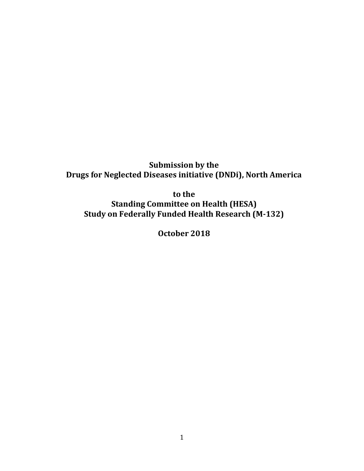**Submission by the Drugs for Neglected Diseases initiative (DNDi), North America** 

**to the Standing Committee on Health (HESA) Study on Federally Funded Health Research (M-132)**

**October 2018**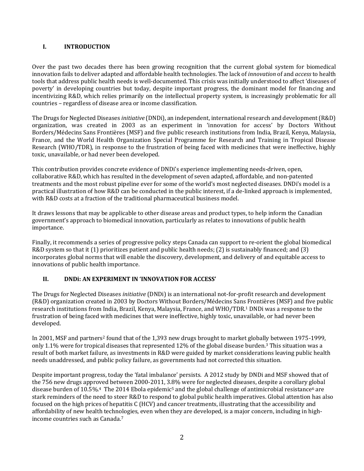#### **I. INTRODUCTION**

Over the past two decades there has been growing recognition that the current global system for biomedical innovation fails to deliver adapted and affordable health technologies. The lack of *innovation* of and *access* to health tools that address public health needs is well-documented. This crisis was initially understood to affect 'diseases of poverty' in developing countries but today, despite important progress, the dominant model for financing and incentivizing R&D, which relies primarily on the intellectual property system, is increasingly problematic for all countries – regardless of disease area or income classification.

The Drugs for Neglected Diseases *initiative* (DNDi), an independent, international research and development (R&D) organization, was created in 2003 as an experiment in 'innovation for access' by Doctors Without Borders/Médecins Sans Frontières (MSF) and five public research institutions from India, Brazil, Kenya, Malaysia, France, and the World Health Organization Special Programme for Research and Training in Tropical Disease Research (WHO/TDR), in response to the frustration of being faced with medicines that were ineffective, highly toxic, unavailable, or had never been developed.

This contribution provides concrete evidence of DNDi's experience implementing needs-driven, open, collaborative R&D, which has resulted in the development of seven adapted, affordable, and non-patented treatments and the most robust pipeline ever for some of the world's most neglected diseases. DNDi's model is a practical illustration of how R&D can be conducted in the public interest, if a de-linked approach is implemented, with R&D costs at a fraction of the traditional pharmaceutical business model.

It draws lessons that may be applicable to other disease areas and product types, to help inform the Canadian government's approach to biomedical innovation, particularly as relates to innovations of public health importance.

Finally, it recommends a series of progressive policy steps Canada can support to re-orient the global biomedical R&D system so that it (1) prioritizes patient and public health needs; (2) is sustainably financed; and (3) incorporates global norms that will enable the discovery, development, and delivery of and equitable access to innovations of public health importance.

## **II. DNDi: AN EXPERIMENT IN 'INNOVATION FOR ACCESS'**

The Drugs for Neglected Diseases *initiative* (DNDi) is an international not-for-profit research and development (R&D) organization created in 2003 by Doctors Without Borders/Médecins Sans Frontières (MSF) and five public research institutions from India, Brazil, Kenya, Malaysia, France, and WHO/TDR.<sup>1</sup> DNDi was a response to the frustration of being faced with medicines that were ineffective, highly toxic, unavailable, or had never been developed.

In 2001, MSF and partners<sup>2</sup> found that of the 1,393 new drugs brought to market globally between 1975-1999, only 1.1% were for tropical diseases that represented 12% of the global disease burden.<sup>3</sup> This situation was a result of both market failure, as investments in R&D were guided by market considerations leaving public health needs unaddressed, and public policy failure, as governments had not corrected this situation.

Despite important progress, today the 'fatal imbalance' persists. A 2012 study by DNDi and MSF showed that of the 756 new drugs approved between 2000-2011, 3.8% were for neglected diseases, despite a corollary global disease burden of 10.5%.<sup>4</sup> The 2014 Ebola epidemic<sup>5</sup> and the global challenge of antimicrobial resistance<sup>6</sup> are stark reminders of the need to steer R&D to respond to global public health imperatives. Global attention has also focused on the high prices of hepatitis C (HCV) and cancer treatments, illustrating that the accessibility and affordability of new health technologies, even when they are developed, is a major concern, including in highincome countries such as Canada. 7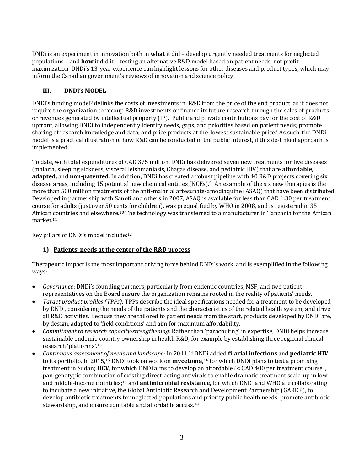DNDi is an experiment in innovation both in **what** it did – develop urgently needed treatments for neglected populations – and **how** it did it – testing an alternative R&D model based on patient needs, not profit maximization. DNDi's 13-year experience can highlight lessons for other diseases and product types, which may inform the Canadian government's reviews of innovation and science policy.

## **III. DNDi's MODEL**

DNDi's funding model<sup>8</sup> delinks the costs of investments in R&D from the price of the end product, as it does not require the organization to recoup R&D investments or finance its future research through the sales of products or revenues generated by intellectual property (IP). Public and private contributions pay for the cost of R&D upfront, allowing DNDi to independently identify needs, gaps, and priorities based on patient needs; promote sharing of research knowledge and data; and price products at the 'lowest sustainable price.' As such, the DNDi model is a practical illustration of how R&D can be conducted in the public interest, if this de-linked approach is implemented.

To date, with total expenditures of CAD 375 million, DNDi has delivered seven new treatments for five diseases (malaria, sleeping sickness, visceral leishmaniasis, Chagas disease, and pediatric HIV) that are **affordable**, **adapted,** and **non-patented**. In addition, DNDi has created a robust pipeline with 40 R&D projects covering six disease areas, including 15 potential new chemical entities (NCEs).9 An example of the six new therapies is the more than 500 million treatments of the anti-malarial artesunate-amodiaquine (ASAQ) that have been distributed. Developed in partnership with Sanofi and others in 2007, ASAQ is available for less than CAD 1.30 per treatment course for adults (just over 50 cents for children), was prequalified by WHO in 2008, and is registered in 35 African countries and elsewhere.<sup>10</sup> The technology was transferred to a manufacturer in Tanzania for the African market.<sup>11</sup>

Key pillars of DNDi's model include:<sup>12</sup>

# **1) Patients' needs at the center of the R&D process**

Therapeutic impact is the most important driving force behind DNDi's work, and is exemplified in the following ways:

- *Governance*: DNDi's founding partners, particularly from endemic countries, MSF, and two patient representatives on the Board ensure the organization remains rooted in the reality of patients' needs.
- *Target product profiles (TPPs):* TPPs describe the ideal specifications needed for a treatment to be developed by DNDi, considering the needs of the patients and the characteristics of the related health system, and drive all R&D activities. Because they are tailored to patient needs from the start, products developed by DNDi are, by design, adapted to 'field conditions' and aim for maximum affordability.
- *Commitment to research capacity-strengthening:* Rather than 'parachuting' in expertise, DNDi helps increase sustainable endemic-country ownership in health R&D, for example by establishing three regional clinical research 'platforms'.<sup>13</sup>
- *Continuous assessment of needs and landscape:* In 2011,<sup>14</sup> DNDi added **filarial infections** and **pediatric HIV**  to its portfolio. In 2015,<sup>15</sup> DNDi took on work on **mycetoma,<sup>16</sup>** for which DNDi plans to test a promising treatment in Sudan; **HCV,** for which DNDi aims to develop an affordable (< CAD 400 per treatment course), pan-genotypic combination of existing direct-acting antivirals to enable dramatic treatment scale-up in lowand middle-income countries; <sup>17</sup> and **antimicrobial resistance,** for which DNDi and WHO are collaborating to incubate a new initiative, the Global Antibiotic Research and Development Partnership (GARDP), to develop antibiotic treatments for neglected populations and priority public health needs, promote antibiotic stewardship, and ensure equitable and affordable access.<sup>18</sup>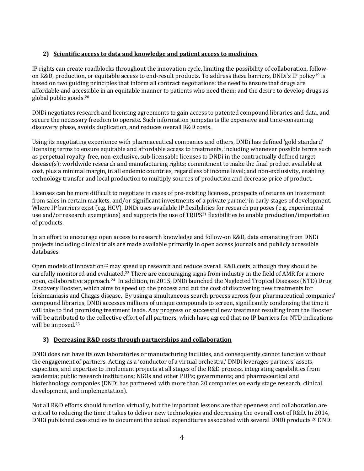## **2) Scientific access to data and knowledge and patient access to medicines**

IP rights can create roadblocks throughout the innovation cycle, limiting the possibility of collaboration, followon R&D, production, or equitable access to end-result products. To address these barriers, DNDi's IP policy<sup>19</sup> is based on two guiding principles that inform all contract negotiations: the need to ensure that drugs are affordable and accessible in an equitable manner to patients who need them; and the desire to develop drugs as global public goods.<sup>20</sup>

DNDi negotiates research and licensing agreements to gain access to patented compound libraries and data, and secure the necessary freedom to operate. Such information jumpstarts the expensive and time-consuming discovery phase, avoids duplication, and reduces overall R&D costs.

Using its negotiating experience with pharmaceutical companies and others, DNDi has defined 'gold standard' licensing terms to ensure equitable and affordable access to treatments, including whenever possible terms such as perpetual royalty-free, non-exclusive, sub-licensable licenses to DNDi in the contractually defined target disease(s); worldwide research and manufacturing rights; commitment to make the final product available at cost, plus a minimal margin, in all endemic countries, regardless of income level; and non-exclusivity, enabling technology transfer and local production to multiply sources of production and decrease price of product.

Licenses can be more difficult to negotiate in cases of pre-existing licenses, prospects of returns on investment from sales in certain markets, and/or significant investments of a private partner in early stages of development. Where IP barriers exist (e.g. HCV), DNDi uses available IP flexibilities for research purposes (e.g. experimental use and/or research exemptions) and supports the use of TRIPS<sup>21</sup> flexibilities to enable production/importation of products.

In an effort to encourage open access to research knowledge and follow-on R&D, data emanating from DNDi projects including clinical trials are made available primarily in open access journals and publicly accessible databases.

Open models of innovation<sup>22</sup> may speed up research and reduce overall R&D costs, although they should be carefully monitored and evaluated.<sup>23</sup> There are encouraging signs from industry in the field of AMR for a more open, collaborative approach.24 In addition, in 2015, DNDi launched the Neglected Tropical Diseases (NTD) Drug Discovery Booster, which aims to speed up the process and cut the cost of discovering new treatments for leishmaniasis and Chagas disease. By using a simultaneous search process across four pharmaceutical companies' compound libraries, DNDi accesses millions of unique compounds to screen, significantly condensing the time it will take to find promising treatment leads. Any progress or successful new treatment resulting from the Booster will be attributed to the collective effort of all partners, which have agreed that no IP barriers for NTD indications will be imposed.<sup>25</sup>

## **3) Decreasing R&D costs through partnerships and collaboration**

DNDi does not have its own laboratories or manufacturing facilities, and consequently cannot function without the engagement of partners. Acting as a 'conductor of a virtual orchestra,' DNDi leverages partners' assets, capacities, and expertise to implement projects at all stages of the R&D process, integrating capabilities from academia; public research institutions; NGOs and other PDPs; governments; and pharmaceutical and biotechnology companies (DNDi has partnered with more than 20 companies on early stage research, clinical development, and implementation).

Not all R&D efforts should function virtually, but the important lessons are that openness and collaboration are critical to reducing the time it takes to deliver new technologies and decreasing the overall cost of R&D. In 2014, DNDi published case studies to document the actual expenditures associated with several DNDi products.<sup>26</sup> DNDi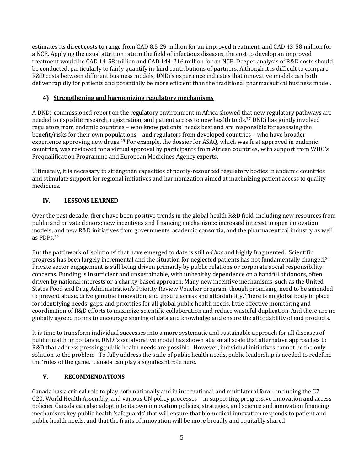estimates its direct costs to range from CAD 8.5-29 million for an improved treatment, and CAD 43-58 million for a NCE. Applying the usual attrition rate in the field of infectious diseases, the cost to develop an improved treatment would be CAD 14-58 million and CAD 144-216 million for an NCE. Deeper analysis of R&D costs should be conducted, particularly to fairly quantify in-kind contributions of partners. Although it is difficult to compare R&D costs between different business models, DNDi's experience indicates that innovative models can both deliver rapidly for patients and potentially be more efficient than the traditional pharmaceutical business model.

## **4) Strengthening and harmonizing regulatory mechanisms**

A DNDi-commissioned report on the regulatory environment in Africa showed that new regulatory pathways are needed to expedite research, registration, and patient access to new health tools.<sup>27</sup> DNDi has jointly involved regulators from endemic countries – who know patients' needs best and are responsible for assessing the benefit/risks for their own populations – and regulators from developed countries – who have broader experience approving new drugs.<sup>28</sup> For example, the dossier for ASAQ, which was first approved in endemic countries, was reviewed for a virtual approval by participants from African countries, with support from WHO's Prequalification Programme and European Medicines Agency experts.

Ultimately, it is necessary to strengthen capacities of poorly-resourced regulatory bodies in endemic countries and stimulate support for regional initiatives and harmonization aimed at maximizing patient access to quality medicines.

## **IV. LESSONS LEARNED**

Over the past decade, there have been positive trends in the global health R&D field, including new resources from public and private donors; new incentives and financing mechanisms; increased interest in open innovation models; and new R&D initiatives from governments, academic consortia, and the pharmaceutical industry as well as PDPs.<sup>29</sup>

But the patchwork of 'solutions' that have emerged to date is still *ad hoc* and highly fragmented. Scientific progress has been largely incremental and the situation for neglected patients has not fundamentally changed.<sup>30</sup> Private sector engagement is still being driven primarily by public relations or corporate social responsibility concerns. Funding is insufficient and unsustainable, with unhealthy dependence on a handful of donors, often driven by national interests or a charity-based approach. Many new incentive mechanisms, such as the United States Food and Drug Administration's Priority Review Voucher program, though promising, need to be amended to prevent abuse, drive genuine innovation, and ensure access and affordability. There is no global body in place for identifying needs, gaps, and priorities for all global public health needs, little effective monitoring and coordination of R&D efforts to maximize scientific collaboration and reduce wasteful duplication. And there are no globally agreed norms to encourage sharing of data and knowledge and ensure the affordability of end products.

It is time to transform individual successes into a more systematic and sustainable approach for all diseases of public health importance. DNDi's collaborative model has shown at a small scale that alternative approaches to R&D that address pressing public health needs are possible. However, individual initiatives cannot be the only solution to the problem. To fully address the scale of public health needs, public leadership is needed to redefine the 'rules of the game.' Canada can play a significant role here.

## **V. RECOMMENDATIONS**

Canada has a critical role to play both nationally and in international and multilateral fora – including the G7, G20, World Health Assembly, and various UN policy processes – in supporting progressive innovation and access policies. Canada can also adopt into its own innovation policies, strategies, and science and innovation financing mechanisms key public health 'safeguards' that will ensure that biomedical innovation responds to patient and public health needs, and that the fruits of innovation will be more broadly and equitably shared.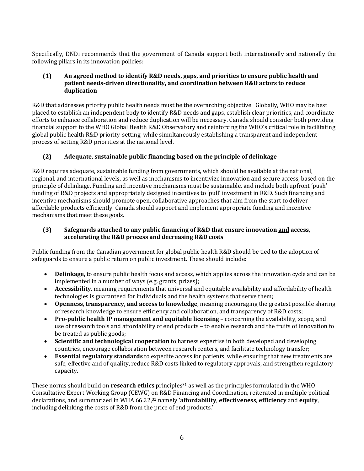Specifically, DNDi recommends that the government of Canada support both internationally and nationally the following pillars in its innovation policies:

#### **(1) An agreed method to identify R&D needs, gaps, and priorities to ensure public health and patient needs-driven directionality, and coordination between R&D actors to reduce duplication**

R&D that addresses priority public health needs must be the overarching objective. Globally, WHO may be best placed to establish an independent body to identify R&D needs and gaps, establish clear priorities, and coordinate efforts to enhance collaboration and reduce duplication will be necessary. Canada should consider both providing financial support to the WHO Global Health R&D Observatory and reinforcing the WHO's critical role in facilitating global public health R&D priority-setting, while simultaneously establishing a transparent and independent process of setting R&D priorities at the national level.

## **(2) Adequate, sustainable public financing based on the principle of delinkage**

R&D requires adequate, sustainable funding from governments, which should be available at the national, regional, and international levels, as well as mechanisms to incentivize innovation and secure access, based on the principle of delinkage. Funding and incentive mechanisms must be sustainable, and include both upfront 'push' funding of R&D projects and appropriately designed incentives to 'pull' investment in R&D. Such financing and incentive mechanisms should promote open, collaborative approaches that aim from the start to deliver affordable products efficiently. Canada should support and implement appropriate funding and incentive mechanisms that meet these goals.

#### **(3) Safeguards attached to any public financing of R&D that ensure innovation and access, accelerating the R&D process and decreasing R&D costs**

Public funding from the Canadian government for global public health R&D should be tied to the adoption of safeguards to ensure a public return on public investment. These should include:

- **Delinkage,** to ensure public health focus and access, which applies across the innovation cycle and can be implemented in a number of ways (e.g. grants, prizes);
- **Accessibility**, meaning requirements that universal and equitable availability and affordability of health technologies is guaranteed for individuals and the health systems that serve them;
- **Openness, transparency, and access to knowledge**, meaning encouraging the greatest possible sharing of research knowledge to ensure efficiency and collaboration, and transparency of R&D costs;
- **Pro-public health IP management and equitable licensing** concerning the availability, scope, and use of research tools and affordability of end products – to enable research and the fruits of innovation to be treated as public goods;
- **Scientific and technological cooperation** to harness expertise in both developed and developing countries, encourage collaboration between research centers, and facilitate technology transfer;
- **Essential regulatory standards** to expedite access for patients, while ensuring that new treatments are safe, effective and of quality, reduce R&D costs linked to regulatory approvals, and strengthen regulatory capacity.

These norms should build on **research ethics** principles<sup>31</sup> as well as the principles formulated in the WHO Consultative Expert Working Group (CEWG) on R&D Financing and Coordination, reiterated in multiple political declarations, and summarized in WHA 66.22,<sup>32</sup> namely '**affordability**, **effectiveness**, **efficiency** and **equity**, including delinking the costs of R&D from the price of end products.'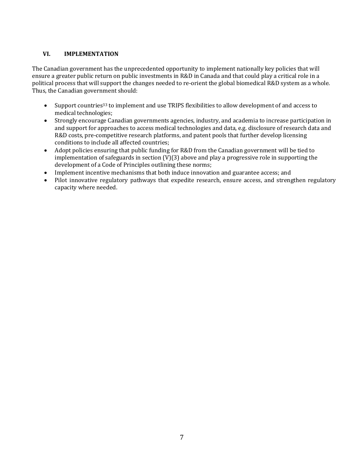## **VI. IMPLEMENTATION**

The Canadian government has the unprecedented opportunity to implement nationally key policies that will ensure a greater public return on public investments in R&D in Canada and that could play a critical role in a political process that will support the changes needed to re-orient the global biomedical R&D system as a whole. Thus, the Canadian government should:

- Support countries<sup>33</sup> to implement and use TRIPS flexibilities to allow development of and access to medical technologies;
- Strongly encourage Canadian governments agencies, industry, and academia to increase participation in and support for approaches to access medical technologies and data, e.g. disclosure of research data and R&D costs, pre-competitive research platforms, and patent pools that further develop licensing conditions to include all affected countries;
- Adopt policies ensuring that public funding for R&D from the Canadian government will be tied to implementation of safeguards in section  $(V)(3)$  above and play a progressive role in supporting the development of a Code of Principles outlining these norms;
- Implement incentive mechanisms that both induce innovation and guarantee access; and
- Pilot innovative regulatory pathways that expedite research, ensure access, and strengthen regulatory capacity where needed.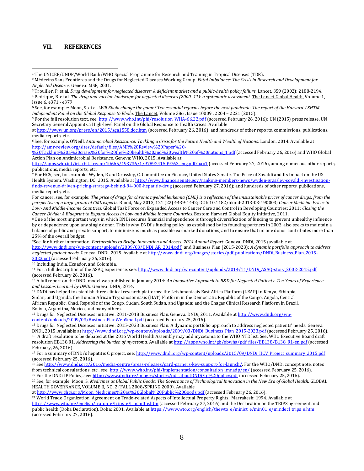#### **VII. REFERENCES**

 $\overline{a}$ 

<sup>1</sup> The UNICEF/UNDP/World Bank/WHO Special Programme for Research and Training in Tropical Diseases (TDR).

<sup>3</sup> Trouiller, P. et al. *Drug development for neglected diseases: A deficient market and a public-health policy failure.* Lancet, 359 (2002): 2188-2194.

<sup>5</sup> For the full resolution text, see[: http://www.who.int/phi/resolution\\_WHA-66.22.pdf](http://www.who.int/phi/resolution_WHA-66.22.pdf) (accessed February 26, 2016); UN (2015) press release. UN Secretary General Appoints a High-level Panel on the Global Response to Health Crises. Available

at <http://www.un.org/press/en/2015/sga1558.doc.htm> (accessed February 26, 2016); and hundreds of other reports, commissions, publications, media reports, etc.

<sup>6</sup> See, for example: O'Neill. *Antimicrobial Resistance: Tackling a Crisis for the Future Health and Wealth of Nations.* London: 2014. Available at [http://amr-review.org/sites/default/files/AMR%20Review%20Paper%20-](http://amr-review.org/sites/default/files/AMR%20Review%20Paper%20-%20Tackling%20a%20crisis%20for%20the%20health%20and%20wealth%20of%20nations_1.pdf)

[%20Tackling%20a%20crisis%20for%20the%20health%20and%20wealth%20of%20nations\\_1.pdf](http://amr-review.org/sites/default/files/AMR%20Review%20Paper%20-%20Tackling%20a%20crisis%20for%20the%20health%20and%20wealth%20of%20nations_1.pdf) (accessed February 26, 2016) and WHO Global Action Plan on Antimicrobial Resistance. Geneva: WHO, 2015. Available at

[http://apps.who.int/iris/bitstream/10665/193736/1/9789241509763\\_eng.pdf?ua=1](http://apps.who.int/iris/bitstream/10665/193736/1/9789241509763_eng.pdf?ua=1) (accessed February 27, 2016), among numerous other reports, publications, media reports, etc.

<sup>7</sup> For HCV, see, for example: Wyden, R and Grassley, C, Committee on Finance, United States Senate. The Price of Sovaldi and Its Impact on the US Health System. Washington, DC: 2015. Available a[t http://www.finance.senate.gov/ranking-members-news/wyden-grassley-sovaldi-investigation](http://www.finance.senate.gov/ranking-members-news/wyden-grassley-sovaldi-investigation-finds-revenue-driven-pricing-strategy-behind-84-000-hepatitis-drug)[finds-revenue-driven-pricing-strategy-behind-84-000-hepatitis-drug](http://www.finance.senate.gov/ranking-members-news/wyden-grassley-sovaldi-investigation-finds-revenue-driven-pricing-strategy-behind-84-000-hepatitis-drug) (accessed February 27, 2016); and hundreds of other reports, publications, media reports, etc.

For cancer, see, for example: *The price of drugs for chronic myeloid leukemia (CML) is a reflection of the unsustainable prices of cancer drugs: from the perspective of a large group of CML experts*. Blood, May 2013, 121 (22) 4439-4442; DOI: 10.1182/blood-2013-03-490003; *Cancer Medicine Prices in Low- And Middle-Income Countries.* Global Task Force on Expanded Access to Cancer Care and Control in Developing Countries: 2011; *Closing the Cancer Divide: A Blueprint to Expand Access in Low and Middle Income Countries.* Boston: Harvard Global Equity Initiative, 2011.

<sup>8</sup> One of the most important ways in which DNDi secures financial independence is through diversification of funding to prevent unhealthy influence by or dependence upon any single donor. This is why DNDi's funding policy, as established by its founding partners in 2003, also seeks to maintain a balance of public and private support, to minimize as much as possible earmarked donations, and to ensure that no one donor contributes more than 25% of the overall budget.

9See, for further information, Partnerships to Bridge Innovation and Access: 2014 Annual Report. Geneva: DNDi, 2015 (available at [http://www.dndi.org/wp-content/uploads/2009/03/DNDi\\_AR\\_2014.pdf\)](http://www.dndi.org/wp-content/uploads/2009/03/DNDi_AR_2014.pdf) and Business Plan (2015-2023): *A dynamic portfolio approach to address neglected patient needs.* Geneva: DNDi, 2015. Available a[t http://www.dndi.org/images/stories/pdf\\_publications/DNDi\\_Business\\_Plan\\_2015-](http://www.dndi.org/images/stories/pdf_publications/DNDi_Business_Plan_2015-2023.pdf) [2023.pdf](http://www.dndi.org/images/stories/pdf_publications/DNDi_Business_Plan_2015-2023.pdf) (accessed February 26, 2016).

<sup>10</sup> Including India, Ecuador, and Colombia.

<sup>11</sup> For a full description of the ASAQ experience, see[: http://www.dndi.org/wp-content/uploads/2014/11/DNDi\\_ASAQ-story\\_2002-2015.pdf](http://www.dndi.org/wp-content/uploads/2014/11/DNDi_ASAQ-story_2002-2015.pdf) (accessed February 26, 2016).

<sup>12</sup> A full report on the DNDi model was published in January 2014: *An Innovative Approach to R&D for Neglected Patients: Ten Years of Experience and Lessons Learned by DNDi.* Geneva: DNDi, 2014.

<sup>13</sup> DNDi has helped to establish three clinical research platforms: the Leishmaniasis East Africa Platform (LEAP) in Kenya, Ethiopia, Sudan, and Uganda; the Human African Trypanosomiasis (HAT) Platform in the Democratic Republic of the Congo, Angola, Central African Republic, Chad, Republic of the Congo, Sudan, South Sudan, and Uganda; and the Chagas Clinical Research Platform in Brazil, Bolivia, Argentina, Mexico, and many others.

<sup>14</sup> Drugs for Neglected Diseases initiative. 2011-2018 Business Plan. Geneva: DNDi, 2011. Available a[t http://www.dndi.org/wp](http://www.dndi.org/wp-content/uploads/2009/03/BusinessPlanWebSmall.pdf)[content/uploads/2009/03/BusinessPlanWebSmall.pdf](http://www.dndi.org/wp-content/uploads/2009/03/BusinessPlanWebSmall.pdf) (accessed February 25, 2016).

<sup>15</sup> Drugs for Neglected Diseases initiative. 2015-2023 Business Plan: A dynamic portfolio approach to address neglected patients' needs. Geneva: DNDi, 2015. Available a[t http://www.dndi.org/wp-content/uploads/2009/03/DNDi\\_Business\\_Plan\\_2015-2023.pdf](http://www.dndi.org/wp-content/uploads/2009/03/DNDi_Business_Plan_2015-2023.pdf) (accessed February 25, 2016). <sup>16</sup> A draft resolution to be debated at the 2016 World Health Assembly may add mycetoma to the WHO NTD list. See: WHO Executive Board draft resolution EB138.R1. *Addressing the burden of mycetoma.* Available a[t http://apps.who.int/gb/ebwha/pdf\\_files/EB138/B138\\_R1-en.pdf](http://apps.who.int/gb/ebwha/pdf_files/EB138/B138_R1-en.pdf) (accessed

February, 26, 2016).

<sup>17</sup> For a summary of DNDi's hepatitis C project, see: [http://www.dndi.org/wp-content/uploads/2015/09/DNDi\\_HCV\\_Project\\_summary\\_2015.pdf](http://www.dndi.org/wp-content/uploads/2015/09/DNDi_HCV_Project_summary_2015.pdf) (accessed February 25, 2016).

<sup>18</sup> Se[e http://www.dndi.org/2016/media-centre/press-releases/gard-garners-key-support-for-launch/.](http://www.dndi.org/2016/media-centre/press-releases/gard-garners-key-support-for-launch/) For the WHO/DNDi concept note, notes from technical consultations, etc., see[: http://www.who.int/phi/implementation/consultation\\_imnadp/en/](http://www.who.int/phi/implementation/consultation_imnadp/en/) (accessed February 25, 2016).

<sup>19</sup> For the DNDi IP Policy, see[: http://www.dndi.org/images/stories/pdf\\_aboutDNDi/ip%20policy.pdf](http://www.dndi.org/images/stories/pdf_aboutDNDi/ip%2520policy.pdf) (accessed February 25, 2016). <sup>20</sup> See, for example: Moon, S. *Medicines as Global Public Goods: The Governance of Technological Innovation in the New Era of Global Health.* GLOBAL HEALTH GOVERNANCE, VOLUME II, NO. 2 (FALL 2008/SPRING 2009). Available

at [http://www.ghgj.org/Moon\\_Medicines%20as%20Global%20Public%20Goods.pdf](http://www.ghgj.org/Moon_Medicines%20as%20Global%20Public%20Goods.pdf) (accessed February 26, 2016).

<sup>21</sup> World Trade Organization. Agreement on Trade-related Aspects of Intellectual Property Rights. Marrakesh: 1994. Available at [https://www.wto.org/english/tratop\\_e/trips\\_e/t\\_agm0\\_e.htm](https://www.wto.org/english/tratop_e/trips_e/t_agm0_e.htm) (accessed February 27, 2016) and the Declaration on the TRIPS agreement and public health (Doha Declaration). Doha: 2001. Available a[t https://www.wto.org/english/thewto\\_e/minist\\_e/min01\\_e/mindecl\\_trips\\_e.htm](https://www.wto.org/english/thewto_e/minist_e/min01_e/mindecl_trips_e.htm) (accessed February 27, 2016).

<sup>2</sup> Médecins Sans Frontières and the Drugs for Neglected Diseases Working Group. *Fatal Imbalance: The Crisis in Research and Development for Neglected Diseases*. Geneva: MSF, 2001.

<sup>4</sup> Pedrique, B. et al. *The drug and vaccine landscape for neglected diseases (2000–11): a systematic assessment.* The Lancet Global Health, Volume 1, Issue 6, e371 - e379

**<sup>5</sup>** See, for example: Moon, S. et al. *Will Ebola change the game? Ten essential reforms before the next pandemic. The report of the Harvard-LSHTM Independent Panel on the Global Response to Ebola.* The Lancet, Volume 386 , Issue 10009 , 2204 – 2221 (2015).